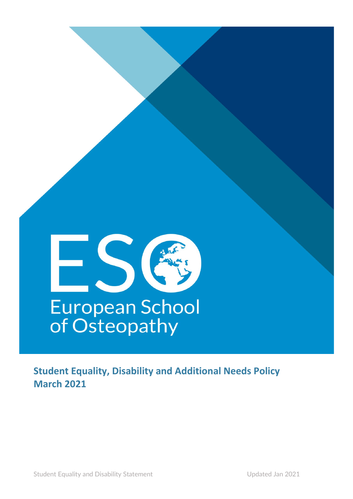

**Student Equality, Disability and Additional Needs Policy March 2021**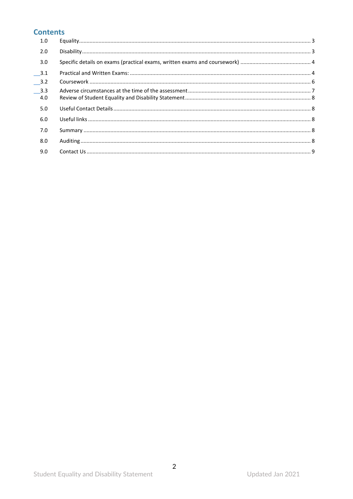# **Contents**

| 1.0    |  |
|--------|--|
| 2.0    |  |
| 3.0    |  |
| $-3.1$ |  |
| $-3.2$ |  |
| 3.3    |  |
| 4.0    |  |
| 5.0    |  |
| 6.0    |  |
| 7.0    |  |
| 8.0    |  |
| 9.0    |  |
|        |  |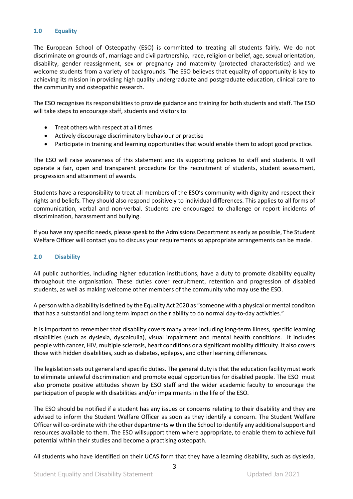## <span id="page-2-0"></span>**1.0 Equality**

The European School of Osteopathy (ESO) is committed to treating all students fairly. We do not discriminate on grounds of , marriage and civil partnership, race, religion or belief, age, sexual orientation, disability, gender reassignment, sex or pregnancy and maternity (protected characteristics) and we welcome students from a variety of backgrounds. The ESO believes that equality of opportunity is key to achieving its mission in providing high quality undergraduate and postgraduate education, clinical care to the community and osteopathic research.

The ESO recognises its responsibilities to provide guidance and training for both students and staff. The ESO will take steps to encourage staff, students and visitors to:

- Treat others with respect at all times
- Actively discourage discriminatory behaviour or practise
- Participate in training and learning opportunities that would enable them to adopt good practice.

The ESO will raise awareness of this statement and its supporting policies to staff and students. It will operate a fair, open and transparent procedure for the recruitment of students, student assessment, progression and attainment of awards.

Students have a responsibility to treat all members of the ESO's community with dignity and respect their rights and beliefs. They should also respond positively to individual differences. This applies to all forms of communication, verbal and non-verbal. Students are encouraged to challenge or report incidents of discrimination, harassment and bullying.

If you have any specific needs, please speak to the Admissions Department as early as possible, The Student Welfare Officer will contact you to discuss your requirements so appropriate arrangements can be made.

#### <span id="page-2-1"></span>**2.0 Disability**

All public authorities, including higher education institutions, have a duty to promote disability equality throughout the organisation. These duties cover recruitment, retention and progression of disabled students, as well as making welcome other members of the community who may use the ESO.

A person with a disability is defined by the Equality Act 2020 as "someone with a physical or mental conditon that has a substantial and long term impact on their ability to do normal day-to-day activities."

It is important to remember that disability covers many areas including long-term illness, specific learning disabilities (such as dyslexia, dyscalculia), visual impairment and mental health conditions. It includes people with cancer, HIV, multiple sclerosis, heart conditions or a significant mobility difficulty. It also covers those with hidden disabilities, such as diabetes, epilepsy, and other learning differences.

The legislation sets out general and specific duties. The general duty is that the education facility must work to eliminate unlawful discrimination and promote equal opportunities for disabled people. The ESO must also promote positive attitudes shown by ESO staff and the wider academic faculty to encourage the participation of people with disabilities and/or impairments in the life of the ESO.

The ESO should be notified if a student has any issues or concerns relating to their disability and they are advised to inform the Student Welfare Officer as soon as they identify a concern. The Student Welfare Officer will co-ordinate with the other departments within the School to identify any additional support and resources available to them. The ESO willsupport them where appropriate, to enable them to achieve full potential within their studies and become a practising osteopath.

3 All students who have identified on their UCAS form that they have a learning disability, such as dyslexia,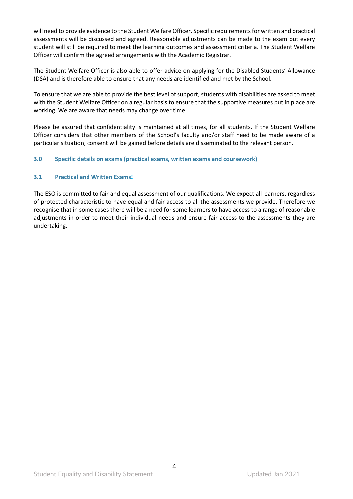will need to provide evidence to the Student Welfare Officer. Specific requirements for written and practical assessments will be discussed and agreed. Reasonable adjustments can be made to the exam but every student will still be required to meet the learning outcomes and assessment criteria. The Student Welfare Officer will confirm the agreed arrangements with the Academic Registrar.

The Student Welfare Officer is also able to offer advice on applying for the Disabled Students' Allowance (DSA) and is therefore able to ensure that any needs are identified and met by the School.

To ensure that we are able to provide the best level of support, students with disabilities are asked to meet with the Student Welfare Officer on a regular basis to ensure that the supportive measures put in place are working. We are aware that needs may change over time.

Please be assured that confidentiality is maintained at all times, for all students. If the Student Welfare Officer considers that other members of the School's faculty and/or staff need to be made aware of a particular situation, consent will be gained before details are disseminated to the relevant person.

## <span id="page-3-0"></span>**3.0 Specific details on exams (practical exams, written exams and coursework)**

## <span id="page-3-1"></span>**3.1 Practical and Written Exams:**

The ESO is committed to fair and equal assessment of our qualifications. We expect all learners, regardless of protected characteristic to have equal and fair access to all the assessments we provide. Therefore we recognise that in some cases there will be a need for some learners to have access to a range of reasonable adjustments in order to meet their individual needs and ensure fair access to the assessments they are undertaking.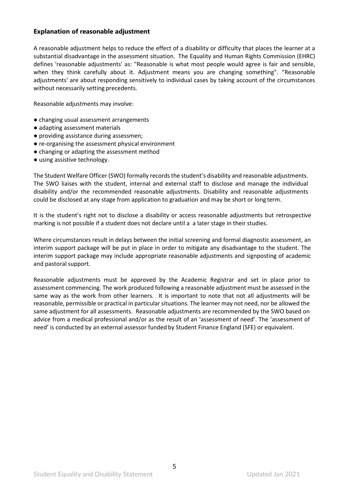## **Explanation of reasonable adjustment**

A reasonable adjustment helps to reduce the effect of a disability or difficulty that places the learner at a substantial disadvantage in the assessment situation. The Equality and Human Rights Commission (EHRC) defines 'reasonable adjustments' as: "Reasonable is what most people would agree is fair and sensible, when they think carefully about it. Adjustment means you are changing something". "Reasonable adjustments' are about responding sensitively to individual cases by taking account of the circumstances without necessarily setting precedents.

Reasonable adjustments may involve:

- changing usual assessment arrangements
- adapting assessment materials
- providing assistance during assessmen;
- re-organising the assessment physical environment
- changing or adapting the assessment method
- using assistive technology.

The Student Welfare Officer (SWO) formally records the student's disability and reasonable adjustments. The SWO liaises with the student, internal and external staff to disclose and manage the individual disability and/or the recommended reasonable adjustments. Disability and reasonable adjustments could be disclosed at any stage from application to graduation and may be short or long term.

It is the student's right not to disclose a disability or access reasonable adjustments but retrospective marking is not possible if a student does not declare until a a later stage in their studies.

Where circumstances result in delays between the initial screening and formal diagnostic assessment, an interim support package will be put in place in order to mitigate any disadvantage to the student. The interim support package may include appropriate reasonable adjustments and signposting of academic and pastoral support.

Reasonable adjustments must be approved by the Academic Registrar and set in place prior to assessment commencing. The work produced following a reasonable adjustment must be assessed in the same way as the work from other learners. It is important to note that not all adjustments will be reasonable, permissible or practical in particular situations. The learner may not need, nor be allowed the same adjustment for all assessments. Reasonable adjustments are recommended by the SWO based on advice from a medical professional and/or as the result of an 'assessment of need'. The 'assessment of need' is conducted by an external assessor funded by Student Finance England (SFE) or equivalent.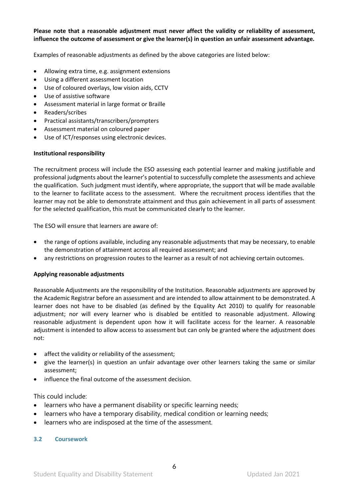## **Please note that a reasonable adjustment must never affect the validity or reliability of assessment, influence the outcome of assessment or give the learner(s) in question an unfair assessment advantage.**

Examples of reasonable adjustments as defined by the above categories are listed below:

- Allowing extra time, e.g. assignment extensions
- Using a different assessment location
- Use of coloured overlays, low vision aids, CCTV
- Use of assistive software
- Assessment material in large format or Braille
- Readers/scribes
- Practical assistants/transcribers/prompters
- Assessment material on coloured paper
- Use of ICT/responses using electronic devices.

#### **Institutional responsibility**

The recruitment process will include the ESO assessing each potential learner and making justifiable and professional judgments about the learner's potential to successfully complete the assessments and achieve the qualification. Such judgment must identify, where appropriate, the support that will be made available to the learner to facilitate access to the assessment. Where the recruitment process identifies that the learner may not be able to demonstrate attainment and thus gain achievement in all parts of assessment for the selected qualification, this must be communicated clearly to the learner.

The ESO will ensure that learners are aware of:

- the range of options available, including any reasonable adjustments that may be necessary, to enable the demonstration of attainment across all required assessment; and
- any restrictions on progression routes to the learner as a result of not achieving certain outcomes.

#### **Applying reasonable adjustments**

Reasonable Adjustments are the responsibility of the Institution. Reasonable adjustments are approved by the Academic Registrar before an assessment and are intended to allow attainment to be demonstrated. A learner does not have to be disabled (as defined by the Equality Act 2010) to qualify for reasonable adjustment; nor will every learner who is disabled be entitled to reasonable adjustment. Allowing reasonable adjustment is dependent upon how it will facilitate access for the learner. A reasonable adjustment is intended to allow access to assessment but can only be granted where the adjustment does not:

- affect the validity or reliability of the assessment;
- give the learner(s) in question an unfair advantage over other learners taking the same or similar assessment;
- influence the final outcome of the assessment decision.

This could include:

- learners who have a permanent disability or specific learning needs;
- learners who have a temporary disability, medical condition or learning needs;
- learners who are indisposed at the time of the assessment.

#### <span id="page-5-0"></span>**3.2 Coursework**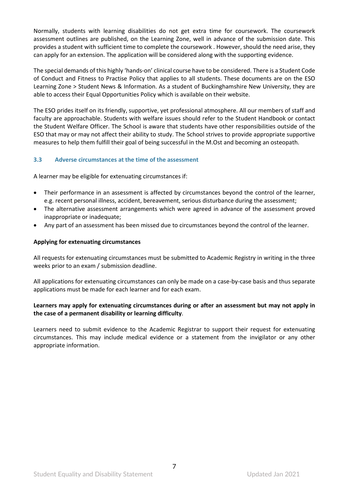Normally, students with learning disabilities do not get extra time for coursework. The coursework assessment outlines are published, on the Learning Zone, well in advance of the submission date. This provides a student with sufficient time to complete the coursework . However, should the need arise, they can apply for an extension. The application will be considered along with the supporting evidence.

The special demands of this highly 'hands-on' clinical course have to be considered. There is a Student Code of Conduct and Fitness to Practise Policy that applies to all students. These documents are on the ESO Learning Zone > Student News & Information. As a student of Buckinghamshire New University, they are able to access their Equal Opportunities Policy which is available on their website.

The ESO prides itself on its friendly, supportive, yet professional atmosphere. All our members of staff and faculty are approachable. Students with welfare issues should refer to the Student Handbook or contact the Student Welfare Officer. The School is aware that students have other responsibilities outside of the ESO that may or may not affect their ability to study. The School strives to provide appropriate supportive measures to help them fulfill their goal of being successful in the M.Ost and becoming an osteopath.

## <span id="page-6-0"></span>**3.3 Adverse circumstances at the time of the assessment**

A learner may be eligible for extenuating circumstances if:

- Their performance in an assessment is affected by circumstances beyond the control of the learner, e.g. recent personal illness, accident, bereavement, serious disturbance during the assessment;
- The alternative assessment arrangements which were agreed in advance of the assessment proved inappropriate or inadequate;
- Any part of an assessment has been missed due to circumstances beyond the control of the learner.

## **Applying for extenuating circumstances**

All requests for extenuating circumstances must be submitted to Academic Registry in writing in the three weeks prior to an exam / submission deadline.

All applications for extenuating circumstances can only be made on a case-by-case basis and thus separate applications must be made for each learner and for each exam.

## **Learners may apply for extenuating circumstances during or after an assessment but may not apply in the case of a permanent disability or learning difficulty**.

Learners need to submit evidence to the Academic Registrar to support their request for extenuating circumstances. This may include medical evidence or a statement from the invigilator or any other appropriate information.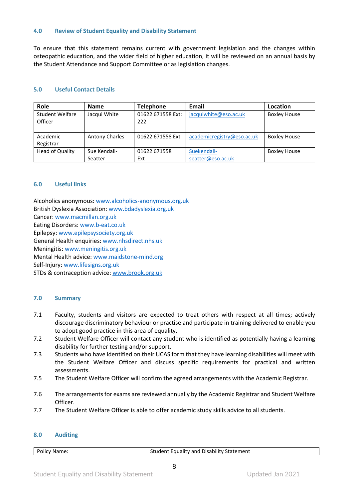#### <span id="page-7-0"></span>**4.0 Review of Student Equality and Disability Statement**

To ensure that this statement remains current with government legislation and the changes within osteopathic education, and the wider field of higher education, it will be reviewed on an annual basis by the Student Attendance and Support Committee or as legislation changes.

## <span id="page-7-1"></span>**5.0 Useful Contact Details**

| Role                              | <b>Name</b>           | <b>Telephone</b>         | Email                      | Location            |
|-----------------------------------|-----------------------|--------------------------|----------------------------|---------------------|
| <b>Student Welfare</b><br>Officer | Jacqui White          | 01622 671558 Ext:<br>222 | jacquiwhite@eso.ac.uk      | <b>Boxley House</b> |
| Academic                          | <b>Antony Charles</b> | 01622 671558 Ext         | academicregistry@eso.ac.uk | <b>Boxley House</b> |
| Registrar                         |                       |                          |                            |                     |
| <b>Head of Quality</b>            | Sue Kendall-          | 01622 671558             | Suekendall-                | <b>Boxley House</b> |
|                                   | Seatter               | Ext                      | seatter@eso.ac.uk          |                     |

## <span id="page-7-2"></span>**6.0 Useful links**

Alcoholics anonymous: [www.alcoholics-anonymous.org.uk](http://www.alcoholics-anonymous.org.uk/) British Dyslexia Association: [www.bdadyslexia.org.uk](http://www.bdadyslexia.org.uk/) Cancer: [www.macmillan.org.uk](http://www.macmillan.org.uk/) Eating Disorders: [www.b-eat.co.uk](http://www.b-eat.co.uk/) Epilepsy: [www.epilepsysociety.org.uk](http://www.epilepsysociety.org.uk/) General Health enquiries: [www.nhsdirect.nhs.uk](http://www.nhsdirect.nhs.uk/) Meningitis: [www.meningitis.org.uk](http://www.meningitis.org.uk/) Mental Health advice: [www.maidstone-mind.org](http://www.maidstone-mind.org/) Self-Injury[: www.lifesigns.org.uk](http://www.lifesigns.org.uk/) STDs & contraception advice: [www.brook.org.uk](http://www.brook.org.uk/)

## <span id="page-7-3"></span>**7.0 Summary**

- 7.1 Faculty, students and visitors are expected to treat others with respect at all times; actively discourage discriminatory behaviour or practise and participate in training delivered to enable you to adopt good practice in this area of equality.
- 7.2 Student Welfare Officer will contact any student who is identified as potentially having a learning disability for further testing and/or support.
- 7.3 Students who have identified on their UCAS form that they have learning disabilities will meet with the Student Welfare Officer and discuss specific requirements for practical and written assessments.
- 7.5 The Student Welfare Officer will confirm the agreed arrangements with the Academic Registrar.
- 7.6 The arrangements for exams are reviewed annually by the Academic Registrar and Student Welfare Officer.
- 7.7 The Student Welfare Officer is able to offer academic study skills advice to all students.

#### <span id="page-7-4"></span>**8.0 Auditing**

#### Policy Name: Student Equality and Disability Statement